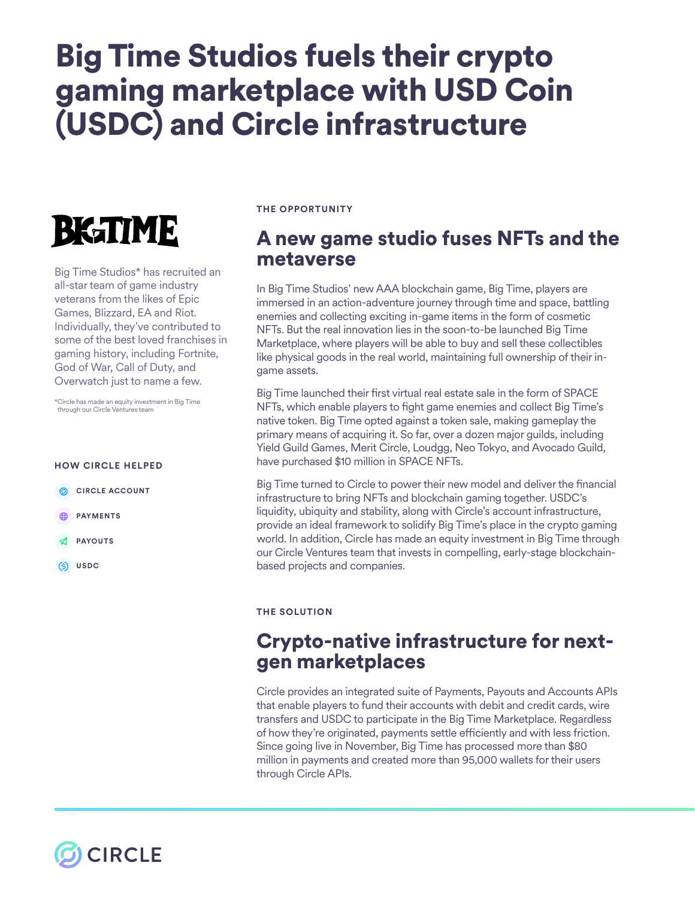# Big Time Studios fuels their crypto gaming marketplace with USD Coin (USDC) and Circle infrastructure



Big Time Studios\* has recruited an all-star team of game industry veterans from the likes of Epic Games, Blizzard, EA and Riot. Individually, they've contributed to some of the best loved franchises in gaming history, including Fortnite, God of War, Call of Duty, and Overwatch just to name a few.

\*Circle has made an equity investment in Big Time through our Circle Ventures team

#### **HOW CIRCLE HELPED**

- **CIRCLE ACCOUNT**
- **ED PAYMENTS**
- **PAYOUTS**
- **USDC**

#### **THE OPPORTUNITY**

## A new game studio fuses NFTs and the metaverse

In Big Time Studios' new AAA blockchain game, Big Time, players are immersed in an action-adventure journey through time and space, battling enemies and collecting exciting in-game items in the form of cosmetic NFTs. But the real innovation lies in the soon-to-be launched Big Time Marketplace, where players will be able to buy and sell these collectibles like physical goods in the real world, maintaining full ownership of their ingame assets.

Big Time launched their first virtual real estate sale in the form of SPACE NFTs, which enable players to fght game enemies and collect Big Time's native token. Big Time opted against a token sale, making gameplay the primary means of acquiring it. So far, over a dozen major guilds, including Yield Guild Games, Merit Circle, Loudgg, Neo Tokyo, and Avocado Guild, have purchased \$10 million in SPACE NFTs.

Big Time turned to Circle to power their new model and deliver the fnancial infrastructure to bring NFTs and blockchain gaming together. USDC's liquidity, ubiquity and stability, along with Circle's account infrastructure, provide an ideal framework to solidify Big Time's place in the crypto gaming world. In addition, Circle has made an equity investment in Big Time through our Circle Ventures team that invests in compelling, early-stage blockchainbased projects and companies.

### **THE SOLUTION**

### Crypto-native infrastructure for nextgen marketplaces

Circle provides an integrated suite of Payments, Payouts and Accounts APIs that enable players to fund their accounts with debit and credit cards, wire transfers and USDC to participate in the Big Time Marketplace. Regardless of how they're originated, payments settle efficiently and with less friction. Since going live in November, Big Time has processed more than \$80 million in payments and created more than 95,000 wallets for their users through Circle APIs.